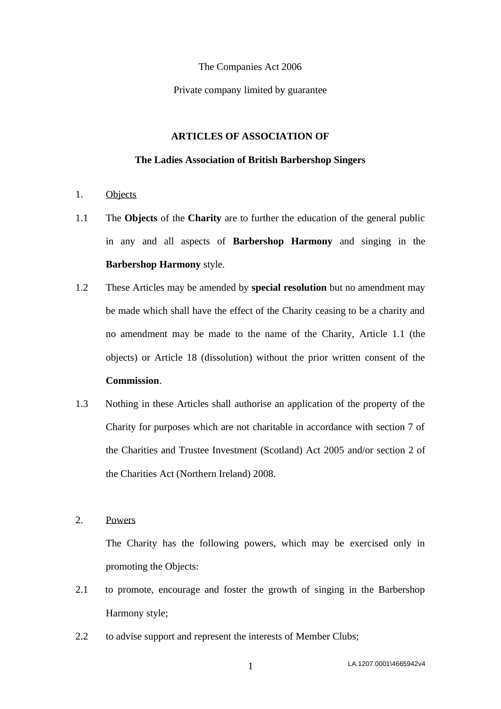The Companies Act 2006

Private company limited by guarantee

### **ARTICLES OF ASSOCIATION OF**

#### **The Ladies Association of British Barbershop Singers**

- 1. Objects
- <span id="page-0-0"></span>1.1 The **Objects** of the **Charity** are to further the education of the general public in any and all aspects of **Barbershop Harmony** and singing in the **Barbershop Harmony** style.
- 1.2 These Articles may be amended by **special resolution** but no amendment may be made which shall have the effect of the Charity ceasing to be a charity and no amendment may be made to the name of the Charity, Article [1.1](#page-0-0) (the objects) or Article [18](#page-17-0) (dissolution) without the prior written consent of the **Commission**.
- 1.3 Nothing in these Articles shall authorise an application of the property of the Charity for purposes which are not charitable in accordance with section 7 of the Charities and Trustee Investment (Scotland) Act 2005 and/or section 2 of the Charities Act (Northern Ireland) 2008.

2. Powers

The Charity has the following powers, which may be exercised only in promoting the Objects:

- 2.1 to promote, encourage and foster the growth of singing in the Barbershop Harmony style;
- 2.2 to advise support and represent the interests of Member Clubs;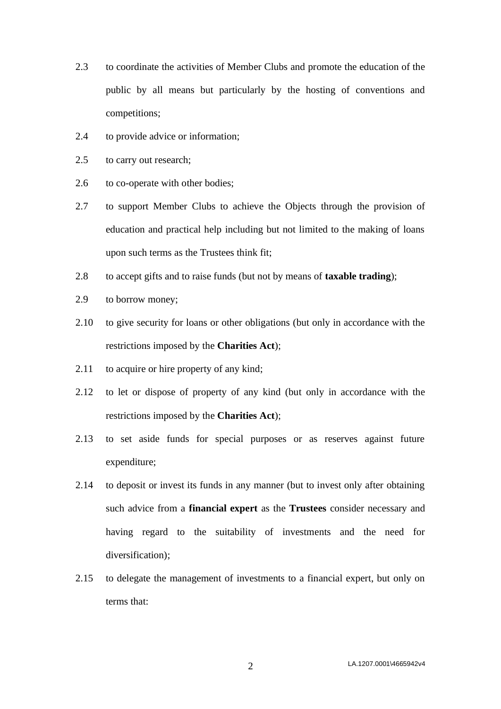- 2.3 to coordinate the activities of Member Clubs and promote the education of the public by all means but particularly by the hosting of conventions and competitions;
- 2.4 to provide advice or information;
- 2.5 to carry out research;
- 2.6 to co-operate with other bodies;
- 2.7 to support Member Clubs to achieve the Objects through the provision of education and practical help including but not limited to the making of loans upon such terms as the Trustees think fit;
- 2.8 to accept gifts and to raise funds (but not by means of **taxable trading**);
- 2.9 to borrow money;
- 2.10 to give security for loans or other obligations (but only in accordance with the restrictions imposed by the **Charities Act**);
- 2.11 to acquire or hire property of any kind;
- 2.12 to let or dispose of property of any kind (but only in accordance with the restrictions imposed by the **Charities Act**);
- 2.13 to set aside funds for special purposes or as reserves against future expenditure;
- 2.14 to deposit or invest its funds in any manner (but to invest only after obtaining such advice from a **financial expert** as the **Trustees** consider necessary and having regard to the suitability of investments and the need for diversification);
- 2.15 to delegate the management of investments to a financial expert, but only on terms that: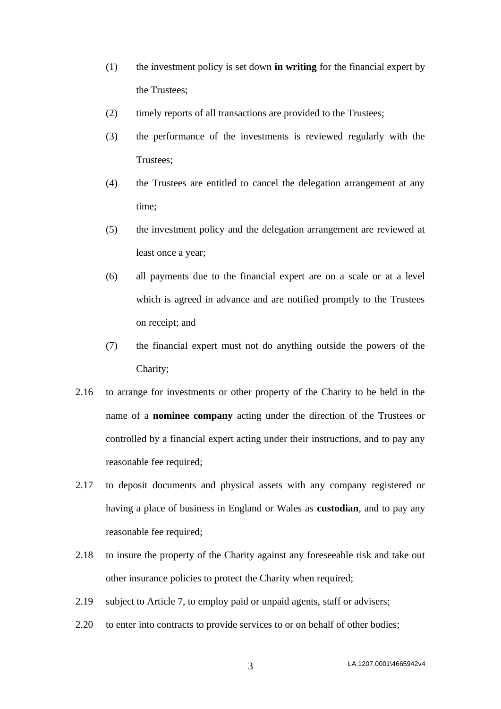- (1) the investment policy is set down **in writing** for the financial expert by the Trustees;
- (2) timely reports of all transactions are provided to the Trustees;
- (3) the performance of the investments is reviewed regularly with the Trustees;
- (4) the Trustees are entitled to cancel the delegation arrangement at any time;
- (5) the investment policy and the delegation arrangement are reviewed at least once a year;
- (6) all payments due to the financial expert are on a scale or at a level which is agreed in advance and are notified promptly to the Trustees on receipt; and
- (7) the financial expert must not do anything outside the powers of the Charity;
- 2.16 to arrange for investments or other property of the Charity to be held in the name of a **nominee company** acting under the direction of the Trustees or controlled by a financial expert acting under their instructions, and to pay any reasonable fee required;
- 2.17 to deposit documents and physical assets with any company registered or having a place of business in England or Wales as **custodian**, and to pay any reasonable fee required;
- 2.18 to insure the property of the Charity against any foreseeable risk and take out other insurance policies to protect the Charity when required;
- 2.19 subject to Article [7,](#page-8-0) to employ paid or unpaid agents, staff or advisers;
- 2.20 to enter into contracts to provide services to or on behalf of other bodies;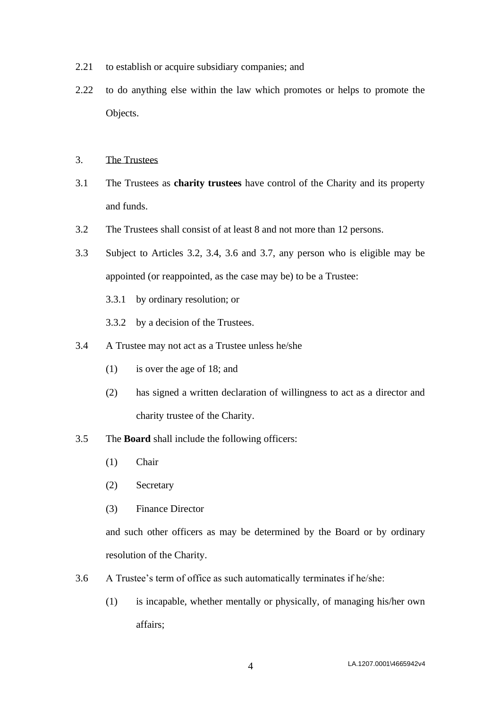- 2.21 to establish or acquire subsidiary companies; and
- 2.22 to do anything else within the law which promotes or helps to promote the Objects.
- 3. The Trustees
- 3.1 The Trustees as **charity trustees** have control of the Charity and its property and funds.
- <span id="page-3-0"></span>3.2 The Trustees shall consist of at least 8 and not more than 12 persons.
- 3.3 Subject to Articles [3.2,](#page-3-0) [3.4,](#page-3-1) [3.6](#page-3-2) and [3.7,](#page-4-0) any person who is eligible may be appointed (or reappointed, as the case may be) to be a Trustee:
	- 3.3.1 by ordinary resolution; or
	- 3.3.2 by a decision of the Trustees.
- <span id="page-3-1"></span>3.4 A Trustee may not act as a Trustee unless he/she
	- (1) is over the age of 18; and
	- (2) has signed a written declaration of willingness to act as a director and charity trustee of the Charity.
- <span id="page-3-3"></span>3.5 The **Board** shall include the following officers:
	- (1) Chair
	- (2) Secretary
	- (3) Finance Director

and such other officers as may be determined by the Board or by ordinary resolution of the Charity.

- <span id="page-3-2"></span>3.6 A Trustee's term of office as such automatically terminates if he/she:
	- (1) is incapable, whether mentally or physically, of managing his/her own affairs;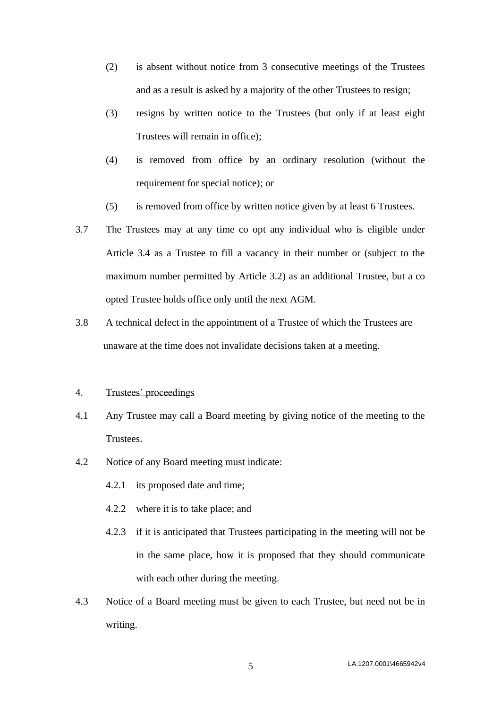- (2) is absent without notice from 3 consecutive meetings of the Trustees and as a result is asked by a majority of the other Trustees to resign;
- (3) resigns by written notice to the Trustees (but only if at least eight Trustees will remain in office);
- (4) is removed from office by an ordinary resolution (without the requirement for special notice); or
- (5) is removed from office by written notice given by at least 6 Trustees.
- <span id="page-4-0"></span>3.7 The Trustees may at any time co opt any individual who is eligible under Article [3.4](#page-3-1) as a Trustee to fill a vacancy in their number or (subject to the maximum number permitted by Article [3.2\)](#page-3-0) as an additional Trustee, but a co opted Trustee holds office only until the next AGM.
- 3.8 A technical defect in the appointment of a Trustee of which the Trustees are unaware at the time does not invalidate decisions taken at a meeting.

#### 4. Trustees' proceedings

- 4.1 Any Trustee may call a Board meeting by giving notice of the meeting to the Trustees.
- 4.2 Notice of any Board meeting must indicate:
	- 4.2.1 its proposed date and time;
	- 4.2.2 where it is to take place; and
	- 4.2.3 if it is anticipated that Trustees participating in the meeting will not be in the same place, how it is proposed that they should communicate with each other during the meeting.
- 4.3 Notice of a Board meeting must be given to each Trustee, but need not be in writing.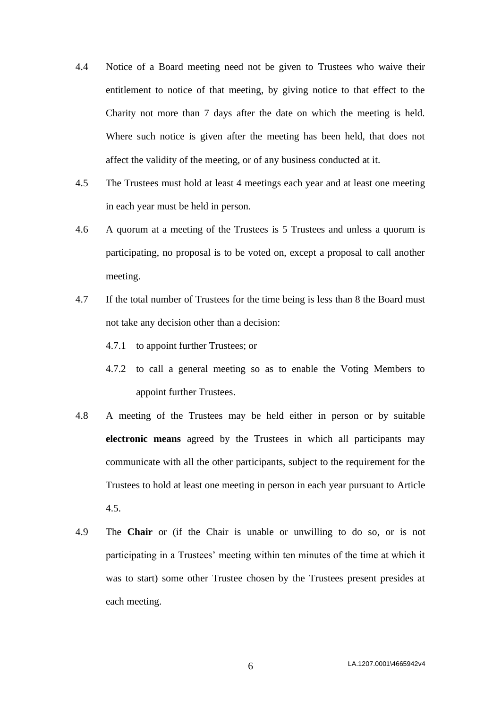- 4.4 Notice of a Board meeting need not be given to Trustees who waive their entitlement to notice of that meeting, by giving notice to that effect to the Charity not more than 7 days after the date on which the meeting is held. Where such notice is given after the meeting has been held, that does not affect the validity of the meeting, or of any business conducted at it.
- <span id="page-5-0"></span>4.5 The Trustees must hold at least 4 meetings each year and at least one meeting in each year must be held in person.
- 4.6 A quorum at a meeting of the Trustees is 5 Trustees and unless a quorum is participating, no proposal is to be voted on, except a proposal to call another meeting.
- 4.7 If the total number of Trustees for the time being is less than 8 the Board must not take any decision other than a decision:
	- 4.7.1 to appoint further Trustees; or
	- 4.7.2 to call a general meeting so as to enable the Voting Members to appoint further Trustees.
- 4.8 A meeting of the Trustees may be held either in person or by suitable **electronic means** agreed by the Trustees in which all participants may communicate with all the other participants, subject to the requirement for the Trustees to hold at least one meeting in person in each year pursuant to Article [4.5.](#page-5-0)
- 4.9 The **Chair** or (if the Chair is unable or unwilling to do so, or is not participating in a Trustees' meeting within ten minutes of the time at which it was to start) some other Trustee chosen by the Trustees present presides at each meeting.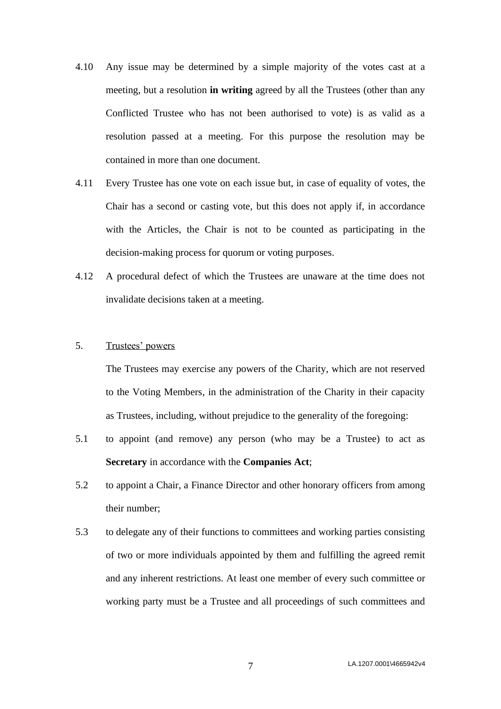- 4.10 Any issue may be determined by a simple majority of the votes cast at a meeting, but a resolution **in writing** agreed by all the Trustees (other than any Conflicted Trustee who has not been authorised to vote) is as valid as a resolution passed at a meeting. For this purpose the resolution may be contained in more than one document.
- 4.11 Every Trustee has one vote on each issue but, in case of equality of votes, the Chair has a second or casting vote, but this does not apply if, in accordance with the Articles, the Chair is not to be counted as participating in the decision-making process for quorum or voting purposes.
- 4.12 A procedural defect of which the Trustees are unaware at the time does not invalidate decisions taken at a meeting.

# 5. Trustees' powers

The Trustees may exercise any powers of the Charity, which are not reserved to the Voting Members, in the administration of the Charity in their capacity as Trustees, including, without prejudice to the generality of the foregoing:

- 5.1 to appoint (and remove) any person (who may be a Trustee) to act as **Secretary** in accordance with the **Companies Act**;
- 5.2 to appoint a Chair, a Finance Director and other honorary officers from among their number;
- 5.3 to delegate any of their functions to committees and working parties consisting of two or more individuals appointed by them and fulfilling the agreed remit and any inherent restrictions. At least one member of every such committee or working party must be a Trustee and all proceedings of such committees and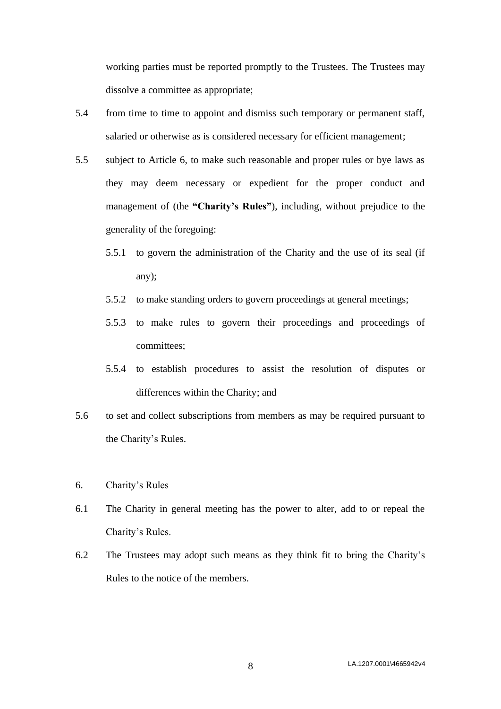working parties must be reported promptly to the Trustees. The Trustees may dissolve a committee as appropriate;

- 5.4 from time to time to appoint and dismiss such temporary or permanent staff, salaried or otherwise as is considered necessary for efficient management;
- <span id="page-7-1"></span>5.5 subject to Article [6,](#page-7-0) to make such reasonable and proper rules or bye laws as they may deem necessary or expedient for the proper conduct and management of (the **"Charity's Rules"**), including, without prejudice to the generality of the foregoing:
	- 5.5.1 to govern the administration of the Charity and the use of its seal (if any);
	- 5.5.2 to make standing orders to govern proceedings at general meetings;
	- 5.5.3 to make rules to govern their proceedings and proceedings of committees;
	- 5.5.4 to establish procedures to assist the resolution of disputes or differences within the Charity; and
- 5.6 to set and collect subscriptions from members as may be required pursuant to the Charity's Rules.
- <span id="page-7-0"></span>6. Charity's Rules
- 6.1 The Charity in general meeting has the power to alter, add to or repeal the Charity's Rules.
- 6.2 The Trustees may adopt such means as they think fit to bring the Charity's Rules to the notice of the members.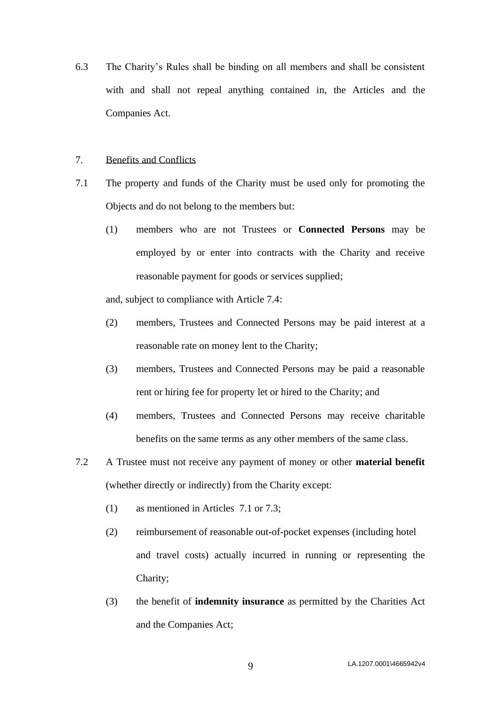6.3 The Charity's Rules shall be binding on all members and shall be consistent with and shall not repeal anything contained in, the Articles and the Companies Act.

### <span id="page-8-0"></span>7. Benefits and Conflicts

- <span id="page-8-1"></span>7.1 The property and funds of the Charity must be used only for promoting the Objects and do not belong to the members but:
	- (1) members who are not Trustees or **Connected Persons** may be employed by or enter into contracts with the Charity and receive reasonable payment for goods or services supplied;

and, subject to compliance with Article [7.4:](#page-9-0)

- (2) members, Trustees and Connected Persons may be paid interest at a reasonable rate on money lent to the Charity;
- (3) members, Trustees and Connected Persons may be paid a reasonable rent or hiring fee for property let or hired to the Charity; and
- (4) members, Trustees and Connected Persons may receive charitable benefits on the same terms as any other members of the same class.
- <span id="page-8-2"></span>7.2 A Trustee must not receive any payment of money or other **material benefit** (whether directly or indirectly) from the Charity except:
	- (1) as mentioned in Articles [7.1](#page-8-1) or [7.3;](#page-9-1)
	- (2) reimbursement of reasonable out-of-pocket expenses (including hotel and travel costs) actually incurred in running or representing the Charity;
	- (3) the benefit of **indemnity insurance** as permitted by the Charities Act and the Companies Act;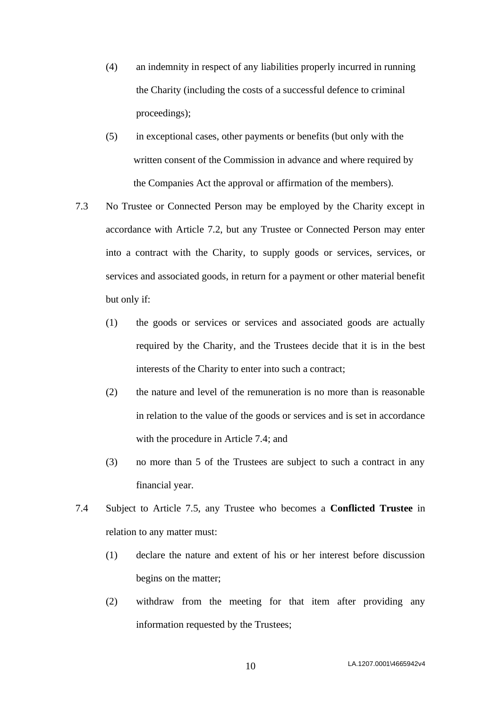- (4) an indemnity in respect of any liabilities properly incurred in running the Charity (including the costs of a successful defence to criminal proceedings);
- (5) in exceptional cases, other payments or benefits (but only with the written consent of the Commission in advance and where required by the Companies Act the approval or affirmation of the members).
- <span id="page-9-1"></span>7.3 No Trustee or Connected Person may be employed by the Charity except in accordance with Article [7.2,](#page-8-2) but any Trustee or Connected Person may enter into a contract with the Charity, to supply goods or services, services, or services and associated goods, in return for a payment or other material benefit but only if:
	- (1) the goods or services or services and associated goods are actually required by the Charity, and the Trustees decide that it is in the best interests of the Charity to enter into such a contract;
	- (2) the nature and level of the remuneration is no more than is reasonable in relation to the value of the goods or services and is set in accordance with the procedure in Article [7.4;](#page-9-0) and
	- (3) no more than 5 of the Trustees are subject to such a contract in any financial year.
- <span id="page-9-0"></span>7.4 Subject to Article [7.5,](#page-10-0) any Trustee who becomes a **Conflicted Trustee** in relation to any matter must:
	- (1) declare the nature and extent of his or her interest before discussion begins on the matter;
	- (2) withdraw from the meeting for that item after providing any information requested by the Trustees;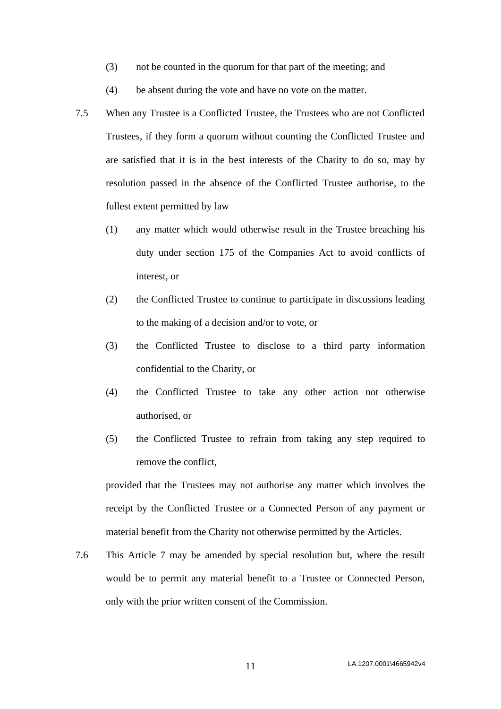- (3) not be counted in the quorum for that part of the meeting; and
- (4) be absent during the vote and have no vote on the matter.
- <span id="page-10-0"></span>7.5 When any Trustee is a Conflicted Trustee, the Trustees who are not Conflicted Trustees, if they form a quorum without counting the Conflicted Trustee and are satisfied that it is in the best interests of the Charity to do so, may by resolution passed in the absence of the Conflicted Trustee authorise, to the fullest extent permitted by law
	- (1) any matter which would otherwise result in the Trustee breaching his duty under section 175 of the Companies Act to avoid conflicts of interest, or
	- (2) the Conflicted Trustee to continue to participate in discussions leading to the making of a decision and/or to vote, or
	- (3) the Conflicted Trustee to disclose to a third party information confidential to the Charity, or
	- (4) the Conflicted Trustee to take any other action not otherwise authorised, or
	- (5) the Conflicted Trustee to refrain from taking any step required to remove the conflict,

provided that the Trustees may not authorise any matter which involves the receipt by the Conflicted Trustee or a Connected Person of any payment or material benefit from the Charity not otherwise permitted by the Articles.

7.6 This Article [7](#page-8-0) may be amended by special resolution but, where the result would be to permit any material benefit to a Trustee or Connected Person, only with the prior written consent of the Commission.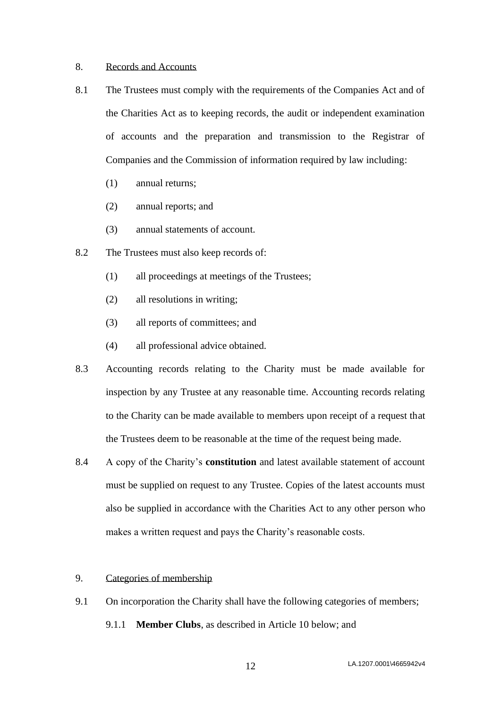### 8. Records and Accounts

- 8.1 The Trustees must comply with the requirements of the Companies Act and of the Charities Act as to keeping records, the audit or independent examination of accounts and the preparation and transmission to the Registrar of Companies and the Commission of information required by law including:
	- (1) annual returns;
	- (2) annual reports; and
	- (3) annual statements of account.
- 8.2 The Trustees must also keep records of:
	- (1) all proceedings at meetings of the Trustees;
	- (2) all resolutions in writing;
	- (3) all reports of committees; and
	- (4) all professional advice obtained.
- 8.3 Accounting records relating to the Charity must be made available for inspection by any Trustee at any reasonable time. Accounting records relating to the Charity can be made available to members upon receipt of a request that the Trustees deem to be reasonable at the time of the request being made.
- 8.4 A copy of the Charity's **constitution** and latest available statement of account must be supplied on request to any Trustee. Copies of the latest accounts must also be supplied in accordance with the Charities Act to any other person who makes a written request and pays the Charity's reasonable costs.
- 9. Categories of membership
- 9.1 On incorporation the Charity shall have the following categories of members; 9.1.1 **Member Clubs**, as described in Article [10](#page-12-0) below; and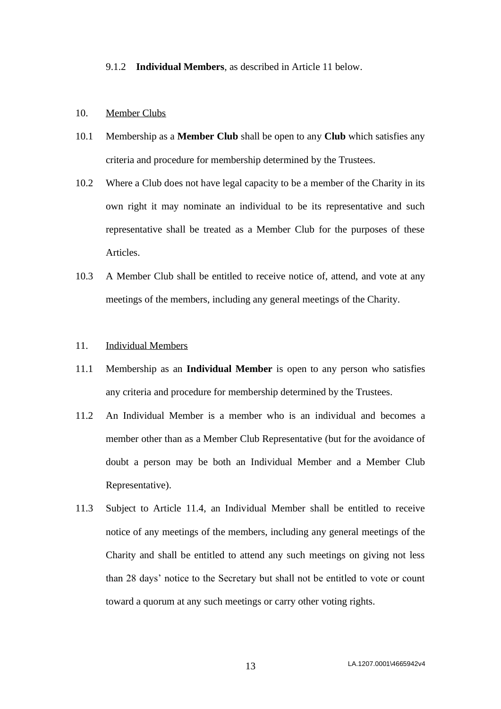9.1.2 **Individual Members**, as described in Article [11](#page-12-1) below.

### <span id="page-12-0"></span>10. Member Clubs

- 10.1 Membership as a **Member Club** shall be open to any **Club** which satisfies any criteria and procedure for membership determined by the Trustees.
- <span id="page-12-2"></span>10.2 Where a Club does not have legal capacity to be a member of the Charity in its own right it may nominate an individual to be its representative and such representative shall be treated as a Member Club for the purposes of these Articles.
- 10.3 A Member Club shall be entitled to receive notice of, attend, and vote at any meetings of the members, including any general meetings of the Charity.

### <span id="page-12-1"></span>11. Individual Members

- 11.1 Membership as an **Individual Member** is open to any person who satisfies any criteria and procedure for membership determined by the Trustees.
- 11.2 An Individual Member is a member who is an individual and becomes a member other than as a Member Club Representative (but for the avoidance of doubt a person may be both an Individual Member and a Member Club Representative).
- 11.3 Subject to Article [11.4,](#page-13-0) an Individual Member shall be entitled to receive notice of any meetings of the members, including any general meetings of the Charity and shall be entitled to attend any such meetings on giving not less than 28 days' notice to the Secretary but shall not be entitled to vote or count toward a quorum at any such meetings or carry other voting rights.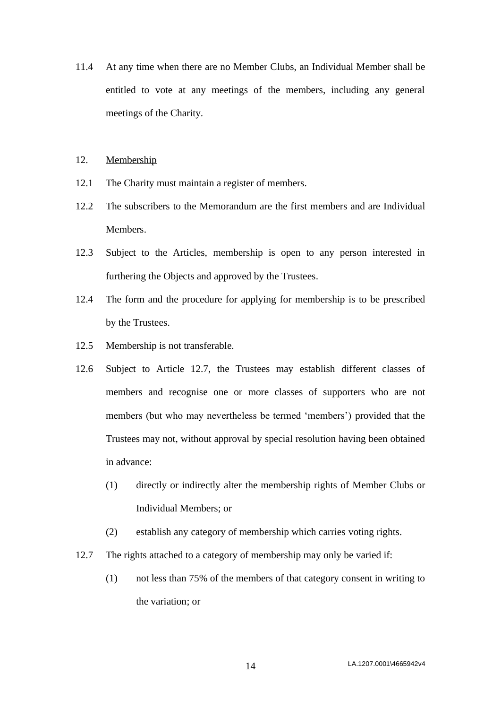- <span id="page-13-0"></span>11.4 At any time when there are no Member Clubs, an Individual Member shall be entitled to vote at any meetings of the members, including any general meetings of the Charity.
- 12. Membership
- 12.1 The Charity must maintain a register of members.
- 12.2 The subscribers to the Memorandum are the first members and are Individual Members.
- 12.3 Subject to the Articles, membership is open to any person interested in furthering the Objects and approved by the Trustees.
- 12.4 The form and the procedure for applying for membership is to be prescribed by the Trustees.
- 12.5 Membership is not transferable.
- 12.6 Subject to Article [12.7,](#page-13-1) the Trustees may establish different classes of members and recognise one or more classes of supporters who are not members (but who may nevertheless be termed 'members') provided that the Trustees may not, without approval by special resolution having been obtained in advance:
	- (1) directly or indirectly alter the membership rights of Member Clubs or Individual Members; or
	- (2) establish any category of membership which carries voting rights.
- <span id="page-13-1"></span>12.7 The rights attached to a category of membership may only be varied if:
	- (1) not less than 75% of the members of that category consent in writing to the variation; or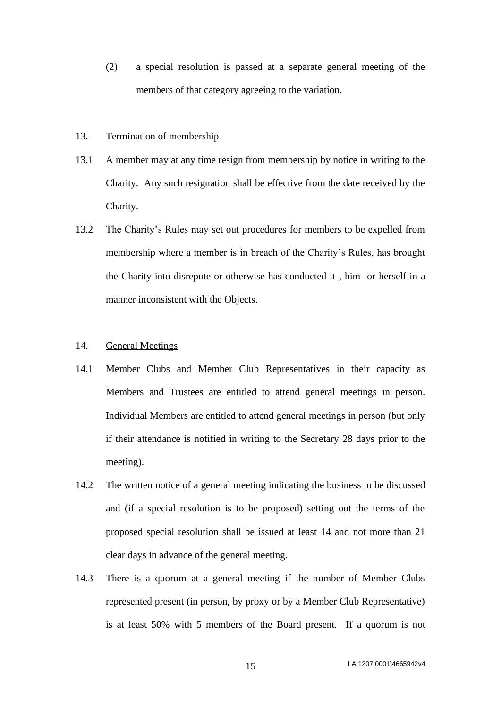(2) a special resolution is passed at a separate general meeting of the members of that category agreeing to the variation.

# 13. Termination of membership

- 13.1 A member may at any time resign from membership by notice in writing to the Charity. Any such resignation shall be effective from the date received by the Charity.
- 13.2 The Charity's Rules may set out procedures for members to be expelled from membership where a member is in breach of the Charity's Rules, has brought the Charity into disrepute or otherwise has conducted it-, him- or herself in a manner inconsistent with the Objects.

# 14. General Meetings

- 14.1 Member Clubs and Member Club Representatives in their capacity as Members and Trustees are entitled to attend general meetings in person. Individual Members are entitled to attend general meetings in person (but only if their attendance is notified in writing to the Secretary 28 days prior to the meeting).
- 14.2 The written notice of a general meeting indicating the business to be discussed and (if a special resolution is to be proposed) setting out the terms of the proposed special resolution shall be issued at least 14 and not more than 21 clear days in advance of the general meeting.
- 14.3 There is a quorum at a general meeting if the number of Member Clubs represented present (in person, by proxy or by a Member Club Representative) is at least 50% with 5 members of the Board present. If a quorum is not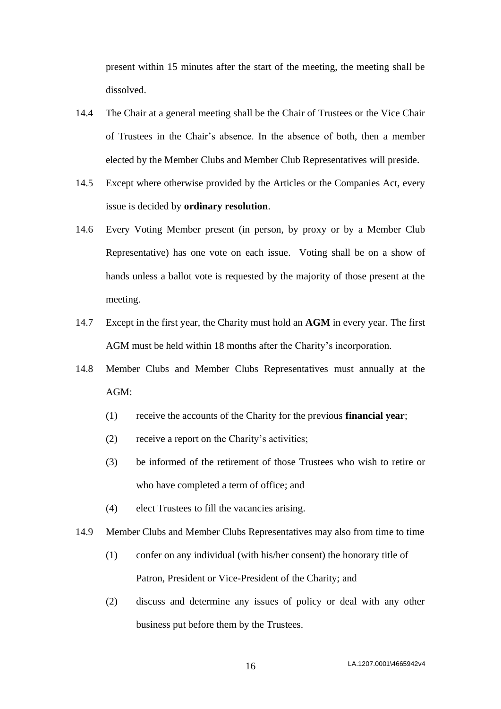present within 15 minutes after the start of the meeting, the meeting shall be dissolved.

- 14.4 The Chair at a general meeting shall be the Chair of Trustees or the Vice Chair of Trustees in the Chair's absence. In the absence of both, then a member elected by the Member Clubs and Member Club Representatives will preside.
- 14.5 Except where otherwise provided by the Articles or the Companies Act, every issue is decided by **ordinary resolution**.
- 14.6 Every Voting Member present (in person, by proxy or by a Member Club Representative) has one vote on each issue. Voting shall be on a show of hands unless a ballot vote is requested by the majority of those present at the meeting.
- 14.7 Except in the first year, the Charity must hold an **AGM** in every year. The first AGM must be held within 18 months after the Charity's incorporation.
- 14.8 Member Clubs and Member Clubs Representatives must annually at the AGM:
	- (1) receive the accounts of the Charity for the previous **financial year**;
	- (2) receive a report on the Charity's activities;
	- (3) be informed of the retirement of those Trustees who wish to retire or who have completed a term of office; and
	- (4) elect Trustees to fill the vacancies arising.
- 14.9 Member Clubs and Member Clubs Representatives may also from time to time
	- (1) confer on any individual (with his/her consent) the honorary title of Patron, President or Vice-President of the Charity; and
	- (2) discuss and determine any issues of policy or deal with any other business put before them by the Trustees.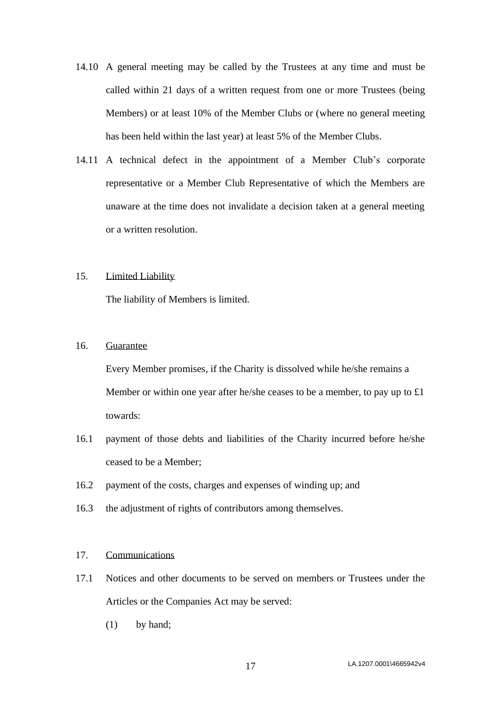- 14.10 A general meeting may be called by the Trustees at any time and must be called within 21 days of a written request from one or more Trustees (being Members) or at least 10% of the Member Clubs or (where no general meeting has been held within the last year) at least 5% of the Member Clubs.
- 14.11 A technical defect in the appointment of a Member Club's corporate representative or a Member Club Representative of which the Members are unaware at the time does not invalidate a decision taken at a general meeting or a written resolution.

#### 15. Limited Liability

The liability of Members is limited.

# 16. Guarantee

Every Member promises, if the Charity is dissolved while he/she remains a Member or within one year after he/she ceases to be a member, to pay up to £1 towards:

- 16.1 payment of those debts and liabilities of the Charity incurred before he/she ceased to be a Member;
- 16.2 payment of the costs, charges and expenses of winding up; and
- 16.3 the adjustment of rights of contributors among themselves.

# 17. Communications

- 17.1 Notices and other documents to be served on members or Trustees under the Articles or the Companies Act may be served:
	- (1) by hand;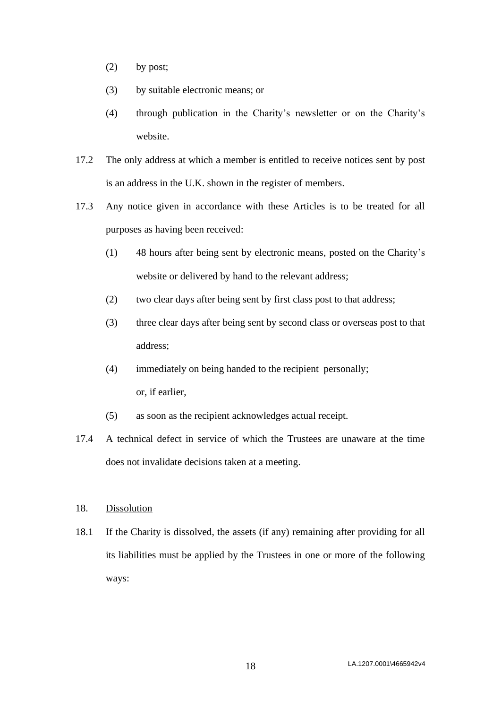- (2) by post;
- (3) by suitable electronic means; or
- (4) through publication in the Charity's newsletter or on the Charity's website.
- 17.2 The only address at which a member is entitled to receive notices sent by post is an address in the U.K. shown in the register of members.
- 17.3 Any notice given in accordance with these Articles is to be treated for all purposes as having been received:
	- (1) 48 hours after being sent by electronic means, posted on the Charity's website or delivered by hand to the relevant address;
	- (2) two clear days after being sent by first class post to that address;
	- (3) three clear days after being sent by second class or overseas post to that address;
	- (4) immediately on being handed to the recipient personally; or, if earlier,
	- (5) as soon as the recipient acknowledges actual receipt.
- 17.4 A technical defect in service of which the Trustees are unaware at the time does not invalidate decisions taken at a meeting.
- <span id="page-17-0"></span>18. Dissolution
- 18.1 If the Charity is dissolved, the assets (if any) remaining after providing for all its liabilities must be applied by the Trustees in one or more of the following ways: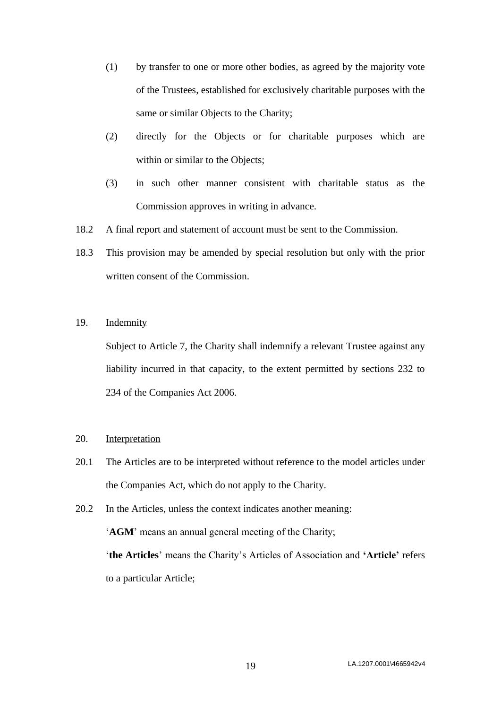- (1) by transfer to one or more other bodies, as agreed by the majority vote of the Trustees, established for exclusively charitable purposes with the same or similar Objects to the Charity;
- (2) directly for the Objects or for charitable purposes which are within or similar to the Objects;
- (3) in such other manner consistent with charitable status as the Commission approves in writing in advance.
- 18.2 A final report and statement of account must be sent to the Commission.
- 18.3 This provision may be amended by special resolution but only with the prior written consent of the Commission.

# 19. Indemnity

Subject to Article [7,](#page-8-0) the Charity shall indemnify a relevant Trustee against any liability incurred in that capacity, to the extent permitted by sections 232 to 234 of the Companies Act 2006.

### 20. Interpretation

- 20.1 The Articles are to be interpreted without reference to the model articles under the Companies Act, which do not apply to the Charity.
- 20.2 In the Articles, unless the context indicates another meaning: '**AGM**' means an annual general meeting of the Charity; '**the Articles**' means the Charity's Articles of Association and **'Article'** refers to a particular Article;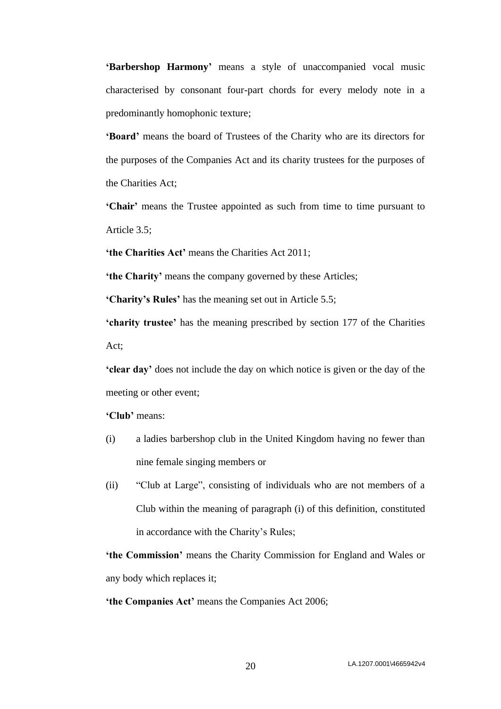**'Barbershop Harmony'** means a style of unaccompanied vocal music characterised by consonant four-part chords for every melody note in a predominantly homophonic texture;

**'Board'** means the board of Trustees of the Charity who are its directors for the purposes of the Companies Act and its charity trustees for the purposes of the Charities Act;

**'Chair'** means the Trustee appointed as such from time to time pursuant to Article [3.5;](#page-3-3)

**'the Charities Act'** means the Charities Act 2011;

**'the Charity'** means the company governed by these Articles;

**'Charity's Rules'** has the meaning set out in Article [5.5;](#page-7-1)

**'charity trustee'** has the meaning prescribed by section 177 of the Charities Act;

**'clear day'** does not include the day on which notice is given or the day of the meeting or other event;

**'Club'** means:

- (i) a ladies barbershop club in the United Kingdom having no fewer than nine female singing members or
- (ii) "Club at Large", consisting of individuals who are not members of a Club within the meaning of paragraph (i) of this definition, constituted in accordance with the Charity's Rules;

**'the Commission'** means the Charity Commission for England and Wales or any body which replaces it;

**'the Companies Act'** means the Companies Act 2006;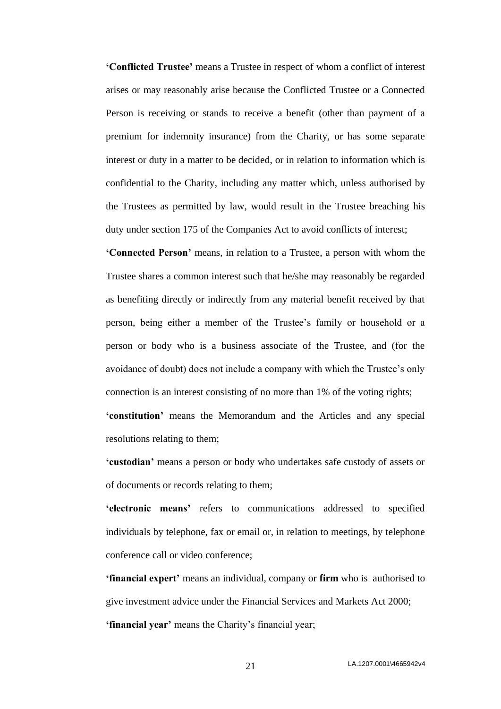**'Conflicted Trustee'** means a Trustee in respect of whom a conflict of interest arises or may reasonably arise because the Conflicted Trustee or a Connected Person is receiving or stands to receive a benefit (other than payment of a premium for indemnity insurance) from the Charity, or has some separate interest or duty in a matter to be decided, or in relation to information which is confidential to the Charity, including any matter which, unless authorised by the Trustees as permitted by law, would result in the Trustee breaching his duty under section 175 of the Companies Act to avoid conflicts of interest;

**'Connected Person'** means, in relation to a Trustee, a person with whom the Trustee shares a common interest such that he/she may reasonably be regarded as benefiting directly or indirectly from any material benefit received by that person, being either a member of the Trustee's family or household or a person or body who is a business associate of the Trustee, and (for the avoidance of doubt) does not include a company with which the Trustee's only connection is an interest consisting of no more than 1% of the voting rights; **'constitution'** means the Memorandum and the Articles and any special resolutions relating to them;

**'custodian'** means a person or body who undertakes safe custody of assets or of documents or records relating to them;

**'electronic means'** refers to communications addressed to specified individuals by telephone, fax or email or, in relation to meetings, by telephone conference call or video conference;

**'financial expert'** means an individual, company or **firm** who is authorised to give investment advice under the Financial Services and Markets Act 2000; **'financial year'** means the Charity's financial year;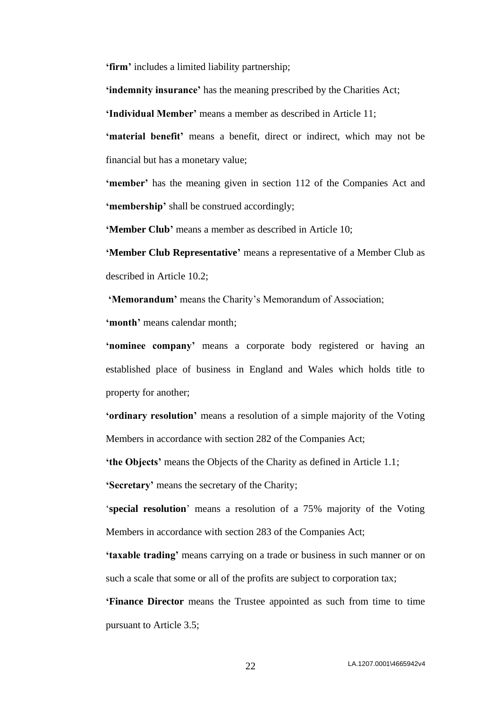**'firm'** includes a limited liability partnership;

**'indemnity insurance'** has the meaning prescribed by the Charities Act;

**'Individual Member'** means a member as described in Article [11;](#page-12-1)

**'material benefit'** means a benefit, direct or indirect, which may not be financial but has a monetary value;

**'member'** has the meaning given in section 112 of the Companies Act and **'membership'** shall be construed accordingly;

**'Member Club'** means a member as described in Article [10;](#page-12-0)

**'Member Club Representative'** means a representative of a Member Club as described in Article [10.2;](#page-12-2)

**'Memorandum'** means the Charity's Memorandum of Association;

**'month'** means calendar month;

**'nominee company'** means a corporate body registered or having an established place of business in England and Wales which holds title to property for another;

**'ordinary resolution'** means a resolution of a simple majority of the Voting Members in accordance with section 282 of the Companies Act;

**'the Objects'** means the Objects of the Charity as defined in Article 1.1;

**'Secretary'** means the secretary of the Charity;

'**special resolution**' means a resolution of a 75% majority of the Voting Members in accordance with section 283 of the Companies Act;

**'taxable trading'** means carrying on a trade or business in such manner or on such a scale that some or all of the profits are subject to corporation tax;

**'Finance Director** means the Trustee appointed as such from time to time pursuant to Article [3.5;](#page-3-3)